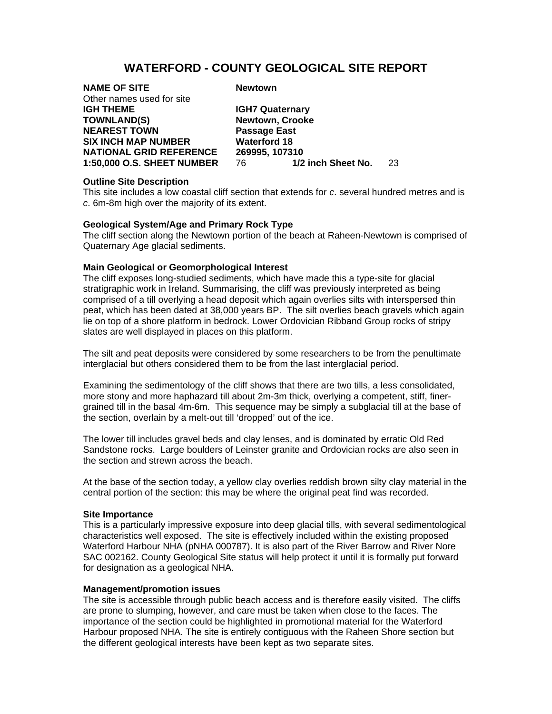# **WATERFORD - COUNTY GEOLOGICAL SITE REPORT**

| <b>NAME OF SITE</b>               | <b>Newtown</b>             |    |
|-----------------------------------|----------------------------|----|
| Other names used for site         |                            |    |
| <b>IGH THEME</b>                  | <b>IGH7 Quaternary</b>     |    |
| <b>TOWNLAND(S)</b>                | Newtown, Crooke            |    |
| <b>NEAREST TOWN</b>               | <b>Passage East</b>        |    |
| <b>SIX INCH MAP NUMBER</b>        | <b>Waterford 18</b>        |    |
| <b>NATIONAL GRID REFERENCE</b>    | 269995, 107310             |    |
| <b>1:50,000 O.S. SHEET NUMBER</b> | 1/2 inch Sheet No.<br>76 - | 23 |
|                                   |                            |    |

# **Outline Site Description**

This site includes a low coastal cliff section that extends for *c*. several hundred metres and is *c*. 6m-8m high over the majority of its extent.

## **Geological System/Age and Primary Rock Type**

The cliff section along the Newtown portion of the beach at Raheen-Newtown is comprised of Quaternary Age glacial sediments.

# **Main Geological or Geomorphological Interest**

The cliff exposes long-studied sediments, which have made this a type-site for glacial stratigraphic work in Ireland. Summarising, the cliff was previously interpreted as being comprised of a till overlying a head deposit which again overlies silts with interspersed thin peat, which has been dated at 38,000 years BP. The silt overlies beach gravels which again lie on top of a shore platform in bedrock. Lower Ordovician Ribband Group rocks of stripy slates are well displayed in places on this platform.

The silt and peat deposits were considered by some researchers to be from the penultimate interglacial but others considered them to be from the last interglacial period.

Examining the sedimentology of the cliff shows that there are two tills, a less consolidated, more stony and more haphazard till about 2m-3m thick, overlying a competent, stiff, finergrained till in the basal 4m-6m. This sequence may be simply a subglacial till at the base of the section, overlain by a melt-out till 'dropped' out of the ice.

The lower till includes gravel beds and clay lenses, and is dominated by erratic Old Red Sandstone rocks. Large boulders of Leinster granite and Ordovician rocks are also seen in the section and strewn across the beach.

At the base of the section today, a yellow clay overlies reddish brown silty clay material in the central portion of the section: this may be where the original peat find was recorded.

#### **Site Importance**

This is a particularly impressive exposure into deep glacial tills, with several sedimentological characteristics well exposed. The site is effectively included within the existing proposed Waterford Harbour NHA (pNHA 000787). It is also part of the River Barrow and River Nore SAC 002162. County Geological Site status will help protect it until it is formally put forward for designation as a geological NHA.

### **Management/promotion issues**

The site is accessible through public beach access and is therefore easily visited. The cliffs are prone to slumping, however, and care must be taken when close to the faces. The importance of the section could be highlighted in promotional material for the Waterford Harbour proposed NHA. The site is entirely contiguous with the Raheen Shore section but the different geological interests have been kept as two separate sites.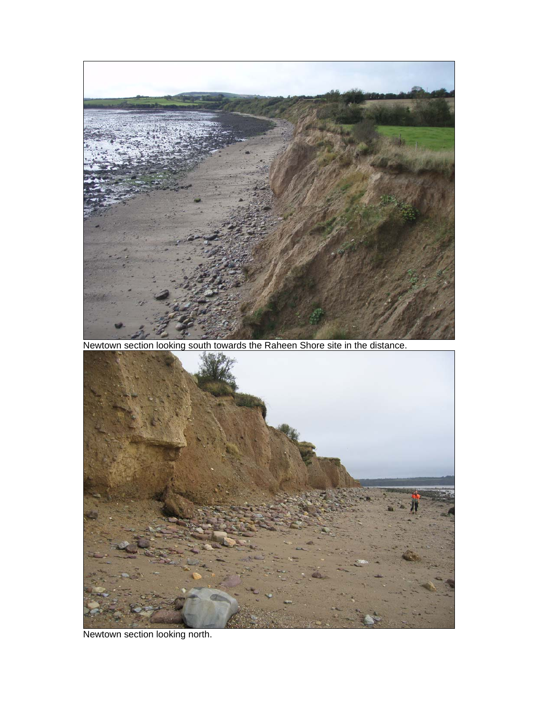

Newtown section looking north.